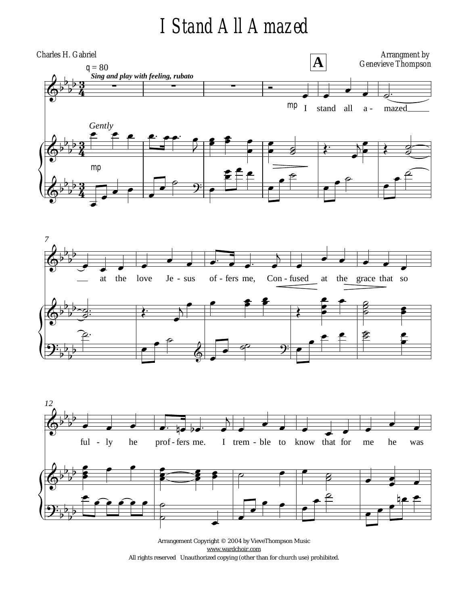## *I Stand All Amazed*







Arrangement Copyright © 2004 by VieveThompson Music [www.wardchoir.com](http://www.wardchoir.com) All rights reserved Unauthorized copying (other than for church use) prohibited.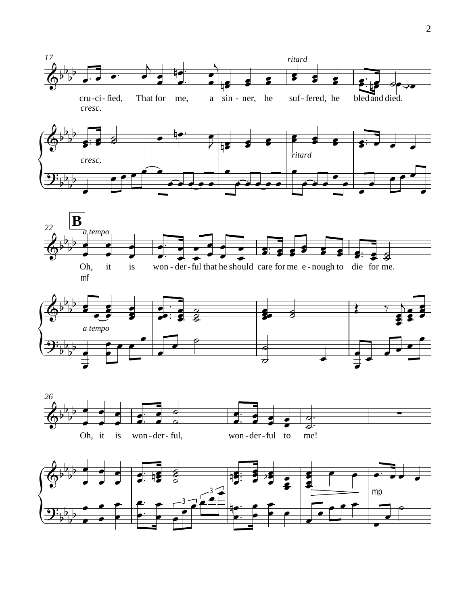



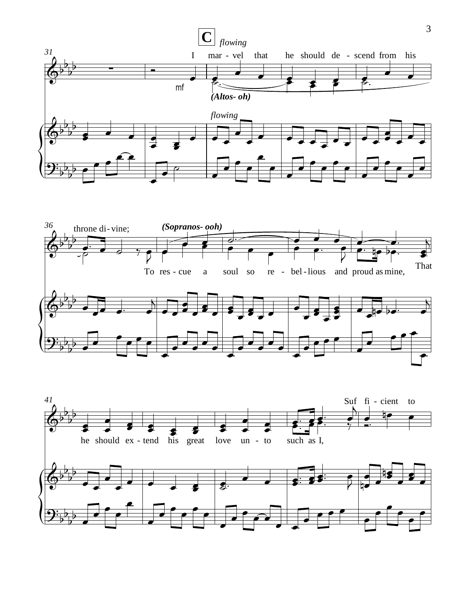



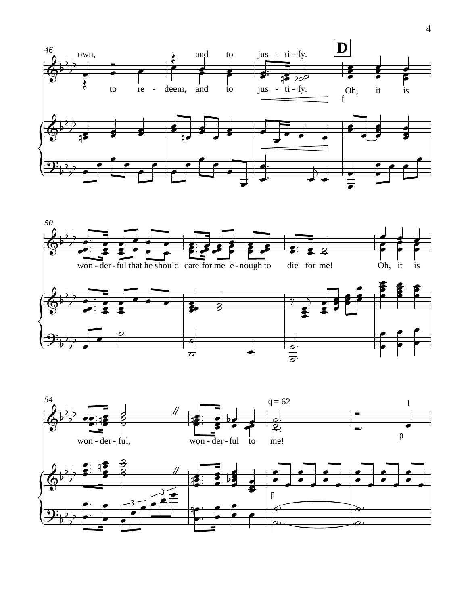



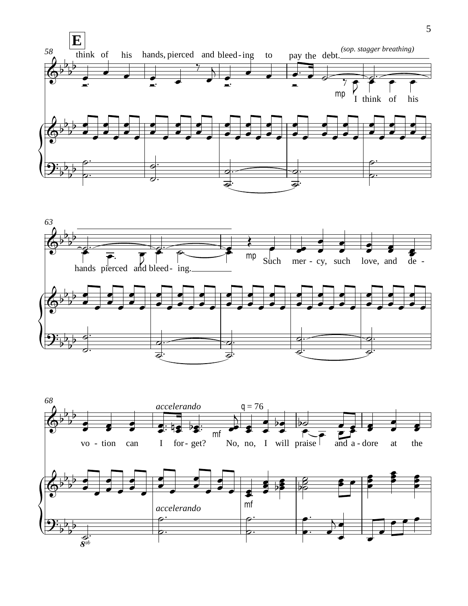



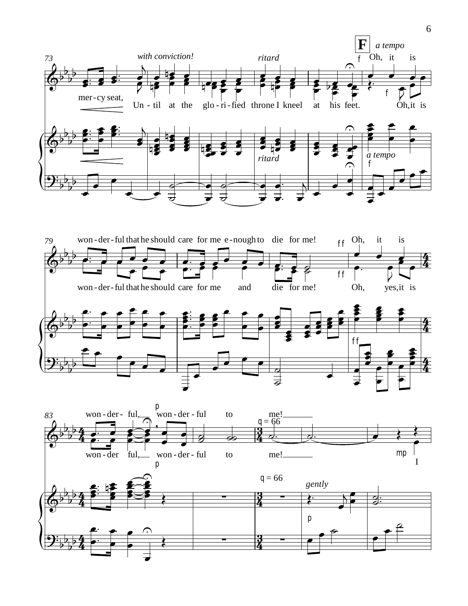